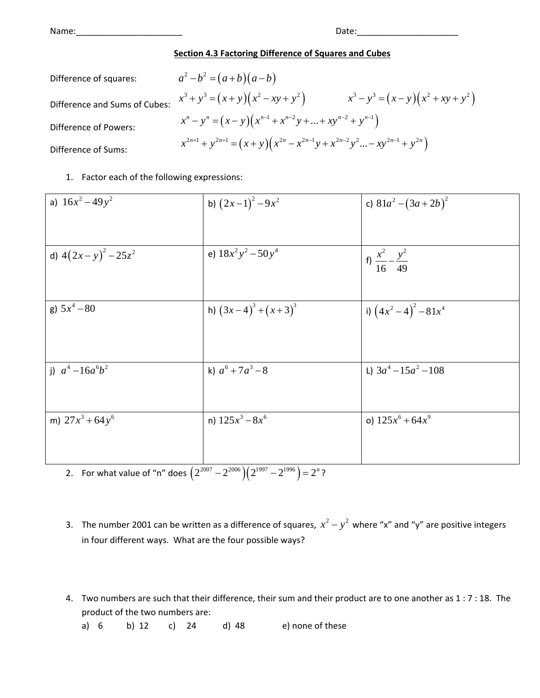Name: where  $\blacksquare$ 

## **Section 4.3 Factoring Difference of Squares and Cubes**

Difference of squares:  $a^2-b^2 = (a+b)(a-b)$ 

Difference and Sums of Cubes:

$$
a^{2} - b^{2} - (a + b)(a - b)
$$
  
\n
$$
x^{3} + y^{3} = (x + y)(x^{2} - xy + y^{2})
$$
  
\n
$$
x^{n} - y^{n} = (x - y)(x^{n-1} + x^{n-2}y + ... + xy^{n-2} + y^{n-1})
$$
  
\n
$$
x^{2n+1} + y^{2n+1} = (x + y)(x^{2n} - x^{2n-1}y + x^{2n-2}y^{2} - ... - xy^{2n-1} + y^{2n})
$$

Difference of Sums:

Difference of Powers:

## 1. Factor each of the following expressions:

| a) $16x^2 - 49y^2$                                      | b) $(2x-1)^2-9x^2$                                              | c) $81a^2 - (3a + 2b)^2$             |
|---------------------------------------------------------|-----------------------------------------------------------------|--------------------------------------|
|                                                         |                                                                 |                                      |
| d) $4(2x-y)^2-25z^2$                                    | e) $18x^2y^2 - 50y^4$                                           | f) $\frac{x^2}{16} - \frac{y^2}{49}$ |
| g) $5x^4 - 80$                                          | h) $(3x-4)^3 + (x+3)^3$                                         | i) $(4x^2-4)^2-81x^4$                |
| j) $a^4 - 16a^6b^2$                                     | k) $a^6 + 7a^3 - 8$                                             | L) $3a^4 - 15a^2 - 108$              |
| m) $27x^3 + 64y^6$<br>For what value of "n" does $2007$ | n) $125x^3 - 8x^6$<br>$2^{2006}$ $(2^{1997}$ $2^{1996}$ $- 2^n$ | o) $125x^6 + 64x^9$                  |

2. For what value of "n" does  $(2^{2007} - 2^{2006})(2^{1997} - 2^{1990}) = 2^{n}$ ?

- 3. The number 2001 can be written as a difference of squares,  $x^2 y^2$  where "x" and "y" are positive integers in four different ways. What are the four possible ways?
- 4. Two numbers are such that their difference, their sum and their product are to one another as 1 : 7 : 18. The product of the two numbers are:

a) 6 b) 12 c) 24 d) 48 e) none of these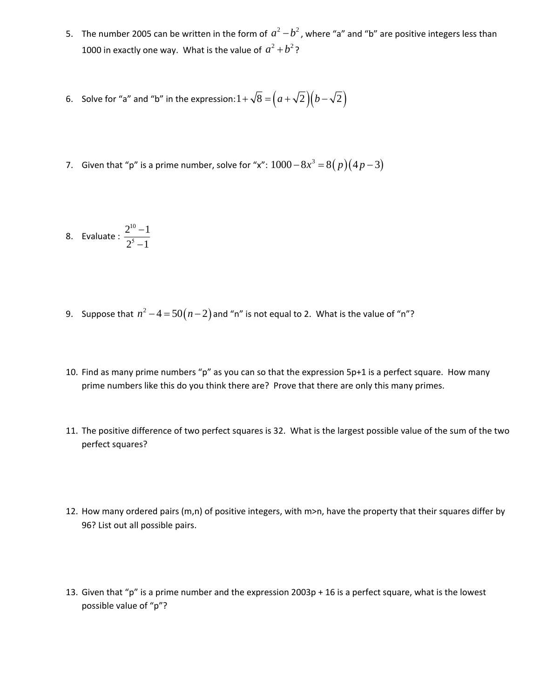- 5. The number 2005 can be written in the form of  $a^2-b^2$ , where "a" and "b" are positive integers less than 1000 in exactly one way. What is the value of  $a^2 + b^2$ ?
- 6. Solve for "a" and "b" in the expression:  $1 + \sqrt{8} = (a + \sqrt{2})(b \sqrt{2})$
- 7. Given that "p" is a prime number, solve for "x":  $1000 8x^3 = 8(p)(4p 3)$

8. Evaluate : 
$$
\frac{2^{10}-1}{2^5-1}
$$

- 9. Suppose that  $n^2 4 = 50(n-2)$  and "n" is not equal to 2. What is the value of "n"?
- 10. Find as many prime numbers "p" as you can so that the expression 5p+1 is a perfect square. How many prime numbers like this do you think there are? Prove that there are only this many primes.
- 11. The positive difference of two perfect squares is 32. What is the largest possible value of the sum of the two perfect squares?
- 12. How many ordered pairs (m,n) of positive integers, with m>n, have the property that their squares differ by 96? List out all possible pairs.
- 13. Given that "p" is a prime number and the expression  $2003p + 16$  is a perfect square, what is the lowest possible value of "p"?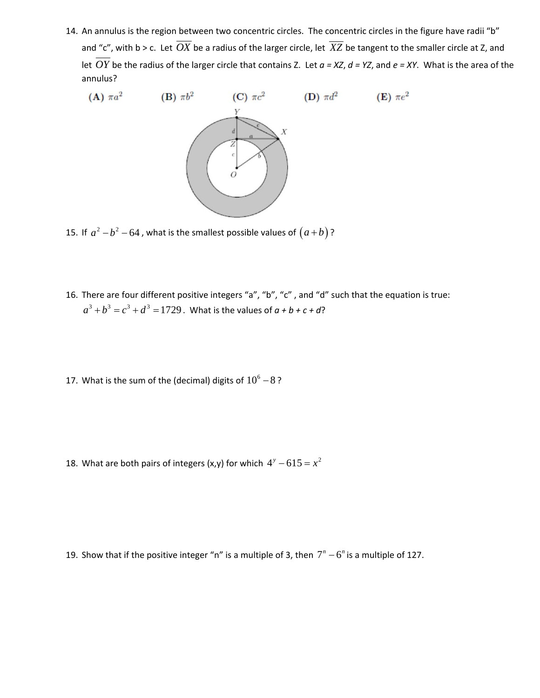14. An annulus is the region between two concentric circles. The concentric circles in the figure have radii "b" and "c", with b > c. Let  $\overline{OX}$  be a radius of the larger circle, let  $\overline{XZ}$  be tangent to the smaller circle at Z, and let *OY* be the radius of the larger circle that contains Z. Let *a = XZ*, *d = YZ*, and *e = XY*. What is the area of the annulus?



15. If  $a^2-b^2-64$ , what is the smallest possible values of  $(a+b)$ ?

- 16. There are four different positive integers "a", "b", "c" , and "d" such that the equation is true:  $a^3 + b^3 = c^3 + d^3 = 1729$ . What is the values of  $a + b + c + d$ ?
- 17. What is the sum of the (decimal) digits of  $10^6 8$ ?

18. What are both pairs of integers (x,y) for which  $4^y - 615 = x^2$ 

19. Show that if the positive integer "n" is a multiple of 3, then  $7<sup>n</sup> - 6<sup>n</sup>$  is a multiple of 127.